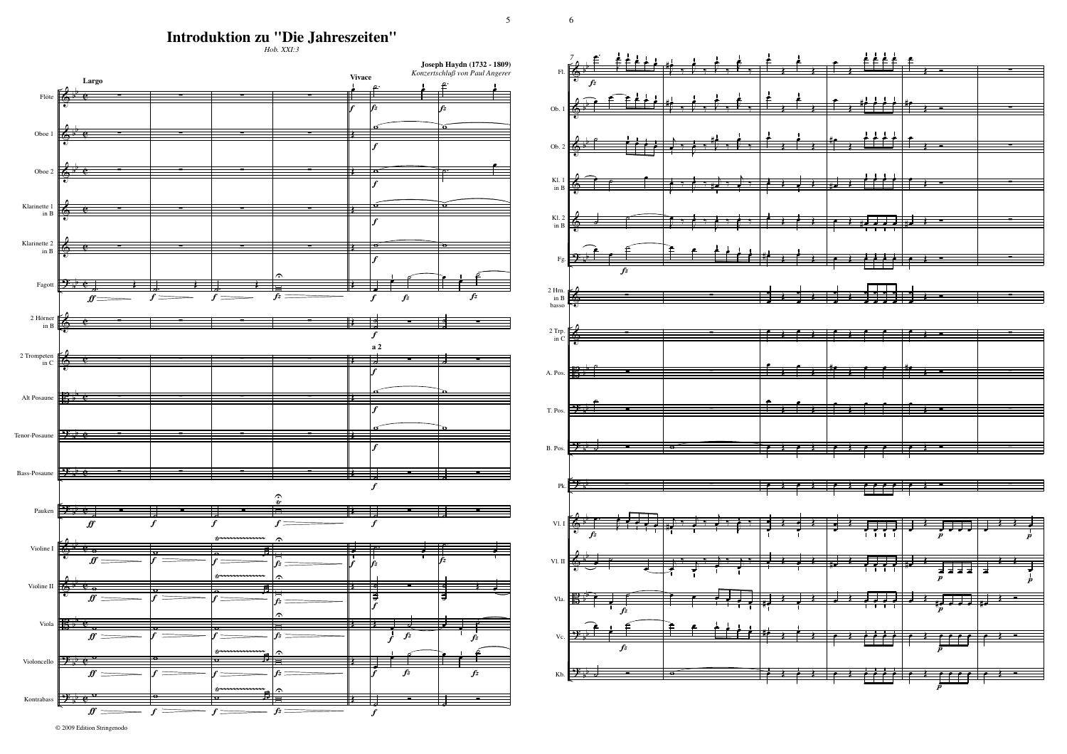6

5